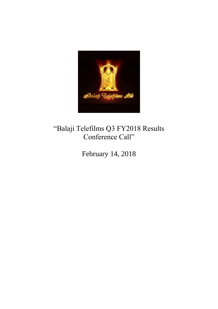

# "Balaji Telefilms Q3 FY2018 Results Conference Call"

February 14, 2018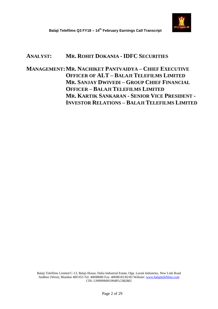

# **ANALYST: MR. ROHIT DOKANIA - IDFC SECURITIES**

**MANAGEMENT:MR. NACHIKET PANTVAIDYA – CHIEF EXECUTIVE OFFICER OF ALT – BALAJI TELEFILMS LIMITED MR. SANJAY DWIVEDI – GROUP CHIEF FINANCIAL OFFICER – BALAJI TELEFILMS LIMITED MR. KARTIK SANKARAN - SENIOR VICE PRESIDENT - INVESTOR RELATIONS – BALAJI TELEFILMS LIMITED**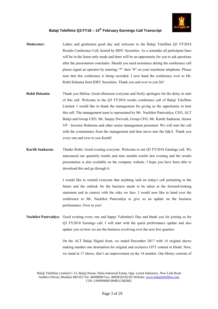

- **Moderator:** Ladies and gentlemen good day and welcome to the Balaji Telefilms Q3 FY2018 Results Conference Call, hosted by IDFC Securities. As a reminder all participant lines will be in the listen-only mode and there will be an opportunity for you to ask questions after the presentation concludes. Should you need assistance during the conference call please signal an operator by entering "\*" then "0" on your touchtone telephone. Please note that this conference is being recorded. I now hand the conference over to Mr. Rohit Dokania from IDFC Securities. Thank you and over to you Sir!
- **Rohit Dokania:** Thank you Melisa. Good afternoon everyone and firstly apologies for the delay in start of this call. Welcome to the Q3 FY2018 results conference call of Balaji Telefilms Limited. I would like to thank the management for giving us the opportunity to host this call. The management team is represented by Mr. Nachiket Pantvaidya, CEO, ALT Balaji and Group CEO, Mr. Sanjay Dwivedi, Group CFO, Mr. Kartik Sankaran, Senior VP - Investor Relations and other senior management personnel. We will start the call with the commentary from the management and then move into the Q&A. Thank you every one and over to you Kartik!
- **Kartik Sankaran**: Thanks Rohit. Good evening everyone. Welcome to our Q3 FY2018 Earnings call. We announced our quarterly results and nine months results last evening and the results presentation is also available on the company website. I hope you have been able to download this and go through it.

I would like to remind everyone that anything said on today's call pertaining to the future and the outlook for the business needs to be taken at the forward-looking statement and in context with the risks we face. I would now like to hand over the conference to Mr. Nachiket Pantvaidya to give us an update on the business performance. Over to you!

**Nachiket Pantvaidya**: Good evening every one and happy Valentine's Day and thank you for joining us for Q3 FY2018 Earnings call. I will start with the quick performance update and also update you on how we see the business revolving over the next few quarters.

> On the ALT Balaji Digital front, we ended December 2017 with 14 original shows making number one destination for original and exclusive OTT content in Hindi. Now, we stand at 17 shows, that's an improvement on the 14 number. Our library consists of

Balaji Telefilms Limited C-13, Balaji House, Dalia Industrial Estate, Opp. Laxmi Industries, New Link Road Andheri (West), Mumbai 400 053 Tel: 40698000 Fax: 40698181/82/83 Website: www.balajitelefilms.com CIN: L99999MH1994PLC082802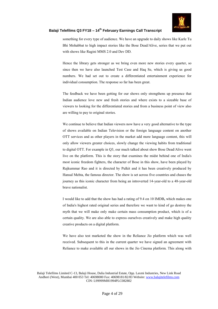

something for every type of audience. We have an upgrade to daily shows like Karle Tu Bhi Mohabbat to high impact stories like the Bose Dead/Alive, series that we put out with shows like Ragini MMS 2.0 and Dev DD.

Hence the library gets stronger as we bring even more new stories every quarter, so since then we have also launched Test Case and Haq Se, which is giving us good numbers. We had set out to create a differentiated entertainment experience for individual consumption. The response so far has been great.

The feedback we have been getting for our shows only strengthens up presence that Indian audience love new and fresh stories and where exists to a sizeable base of viewers to looking for the differentiated stories and from a business point of view also are willing to pay to original stories.

We continue to believe that Indian viewers now have a very good alternative to the type of shows available on Indian Television or the foreign language content on another OTT services and as other players in the market add more language content, this will only allow viewers greater choices, slowly change the viewing habits from traditional to digital OTT. For example in Q3, our much talked about show Bose Dead/Alive went live on the platform. This is the story that examines the midst behind one of India's most iconic freedom fighters, the character of Bose in this show, have been played by Rajkummar Rao and it is directed by Pulkit and it has been creatively produced by Hansal Mehta, the famous director. The show is set across five countries and chases the journey as this iconic character from being an introverted 14-year-old to a 48-year-old brave nationalist.

I would like to add that the show has had a rating of 9.4 on 10 IMDB**,** which makes one of India's highest rated original series and therefore we want to kind of go destroy the myth that we will make only make certain mass consumption product, which is of a certain quality. We are also able to express ourselves creatively and make high quality creative products on a digital platform.

We have also test marketed the show in the Reliance Jio platform which was well received. Subsequent to this in the current quarter we have signed an agreement with Reliance to make available all our shows in the Jio Cinema platform. This along with

Balaji Telefilms Limited C-13, Balaji House, Dalia Industrial Estate, Opp. Laxmi Industries, New Link Road Andheri (West), Mumbai 400 053 Tel: 40698000 Fax: 40698181/82/83 Website: www.balajitelefilms.com CIN: L99999MH1994PLC082802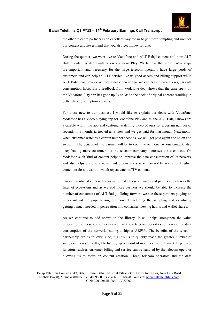

the other telecom partners is an excellent way for us to get more sampling and user for our content and never mind that you also get money for that.

During the quarter, we went live to Vodafone and ALT Balaji content and now ALT Balaji content is also available on Vodafone Play. We believe that these partnerships are important and necessary for the large telecom operators have large pools of customers and can help an OTT service like us good access and billing support while ALT Balaji can provide with original video so that we can help to create a regular data consumption habit. Early feedback from Vodafone deal shows that the time spent on the Vodafone Play app has gone up 2x to 3x on the back of original content resulting in better data consumption viewers.

For those new to our business I would like to explain our deals with Vodafone. Vodafone has a video playing app for Vodafone Play and all the ALT Balaji shows are available within the app and customer watching video of ours for a certain number of seconds in a month, ia treated as a view and we get paid for that month. Next month when customer watches a certain number seconds, we will get paid again and so on and so forth. The benefit of the partner will be to continue to monetize our content, also keep having more customers as the telecom company increases the user base. On Vodafone such kind of content helps to improve the data consumption of its network and also helps bring in a newer video consumers who may not be ready for English content or do not want to watch repeat catch of TV content.

Our differentiated content allows us to make these alliances and partnerships across the Internet ecosystem and as we add more partners we should be able to increase the number of consumers of ALT Balaji. Going forward we see these partners playing an important role in popularizing our content including the sampling and eventually getting a much needed in penetration into consumer viewing habits and wallet shares.

As we continue to add shows to the library, it will helps strengthen the value proposition to these consumers as well as allow telecom operators to increase the data consumption of the network leading to higher ARPUs. The benefits of the telecom partnership are as follows; One, it allow us to quickly reach the greater number of samplers, then you will get to by relying on word of mouth or just pull marketing. Two, functions such as customer billing and service can be handled by the telecom operator allowing us to focus on content creation. Three, telecom operators and the data

Balaji Telefilms Limited C-13, Balaji House, Dalia Industrial Estate, Opp. Laxmi Industries, New Link Road Andheri (West), Mumbai 400 053 Tel: 40698000 Fax: 40698181/82/83 Website: www.balajitelefilms.com CIN: L99999MH1994PLC082802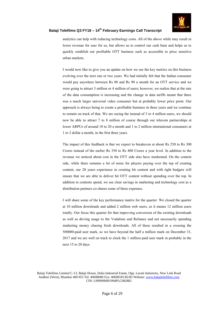

analytics can help with reducing technology costs. All of the above while may result in lower revenue for user for us, but allows us to control our cash burn and helps us to quickly establish our profitable OTT business such as accessible to price sensitive urban markets.

I would now like to give you an update on how we see the key metrics on this business evolving over the next one or two years. We had initially felt that the Indian consumer would pay anywhere between Rs 80 and Rs 90 a month for an OTT service and we were going to attract 3 million or 4 million of users; however, we realize that at the rate of the data consumption is increasing and the change in data tariffs meant that there was a much larger universal video consumer but at probably lower price point. Our approach is always being to create a profitable business in three years and we continue to remain on track of that. We are seeing the instead of 3 to 4 million users, we should now be able to attract 7 to 8 million of course through our telecom partnerships at lower ARPUs of around 10 to 20 a month and 1 to 2 million international consumers at 1 to 2 dollar a month, in the first three years.

The impact of this feedback is that we expect to breakeven at about Rs 250 to Rs 300 Crores instead of the earlier Rs 350 to Rs 400 Crores a year level. In addition to the revenue we noticed about cost in the OTT side also have moderated. On the content side, while there remains a lot of noise for players paying over the top of creating content, our 20 years experience in creating hit content and with tight budgets will ensure that we are able to deliver hit OTT content without spending over the top. In addition to contents spend, we see clear savings in marketing and technology cost as a distribution partners co-shares some of these expenses.

I will share some of the key performance matrix for the quarter. We closed the quarter at 10 million downloads and added 2 million web users, so it means 12 million users totally. Our focus this quarter for that improving conversion of the existing downloads as well as driving usage to the Vodafone and Reliance and not necessarily spending marketing money chasing fresh downloads. All of these resulted in a crossing the 500000-paid user mark, so we have beyond the half a million mark on December 31, 2017 and we are well on track to clock the 1 million paid user mark in probably in the next 15 to 20 days.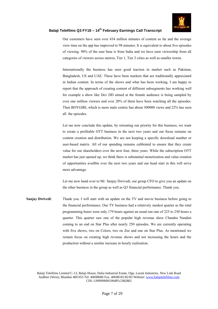

Our customers have seen over 434 million minutes of content so far and the average view time on the app has improved to 98 minutes. It is equivalent to about five episodes of viewing. 90% of the user base is from India and we have seen viewership from all categories of viewers across metros, Tier 1, Tier 2 cities as well as smaller towns.

Internationally the business has seen good traction in market such as Pakistan, Bangladesh, US and UAE. These have been markets that are traditionally appreciated in Indian content. In terms of the shows and what has been working, I am happy to report that the approach of creating content of different subsegments has working well for example a show like Dev DD aimed at the female audience is being sampled by over one million viewers and over 20% of them have been watching all the episodes. Then BOYGIRI, which is more male centric has about 300000 views and 22% has seen all the episodes.

Let me now conclude this update, by retreating our priority for this business, we want to create a profitable OTT business in the next two years and our focus remains on content creation and distribution. We are not keeping a specific download number or user-based matrix. All of our spending remains calibrated to ensure that they create value for our shareholders over the next four, three years. While the subscription OTT market has just opened up, we think there is substantial monetization and value creation of opportunities availble over the next two years and our head start in this will serve more advantage.

Let me now hand over to Mr. Sanjay Dwivedi, our group CFO to give you an update on the other business in the group as well as Q3 financial performance. Thank you.

**Sanjay Dwivedi**: Thank you. I will start with an update on the TV and movie business before going to the financial performance. Our TV business had a relatively modest quarter as the total programming hours were only 179 hours against an usual run rate of 225 to 250 hours a quarter. This quarter saw one of the popular high revenue show Chandra Nandini coming to an end on Star Plus after nearly 250 episodes. We are currently operating with five shows, two on Colors, two on Zee and one on Star Plus. As mentioned we remain focus on creating high revenue shows and not increasing the hours and the production without a similar increase in hourly realization.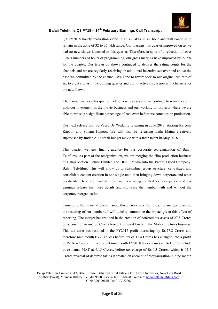

Q3 FY2018 hourly realization came in at 33 lakhs in an hour and will continue to remain in the zone of 32 to 35 lakh range. Our margins this quarter improved on as we had no new shows launched in this quarter. Therefore, in spite of a reduction of over 32% a numbers of hours of programming, our gross margins have improved by 22.5% for the quarter. Our television shows continued to deliver the rating points for the channels and we are regularly receiving an additional incentive see over and above the base we committed by the channel. We hope to revert back to our original run rate of six to eight shows in the coming quarter and our in active discussion with channels for the new shows.

The movie business this quarter had no new releases and we continue to remain careful with our investment in the movie business and our working on projects where we are able to pre-sale a significant percentage of cost even before we commission production.

Our next release will be Veere De Wedding releasing in June 2018, starring Kareena Kapoor and Sonam Kapoor. We will also be releasing Laila Majnu creatively supervised by Imtiaz Ali a small budget movie with a fresh talent in May 2018.

This quarter we saw final clearance for our corporate reorganization of Balaji Telefilms. As part of the reorganization, we are merging the film production business of Balaji Motion Picture Limited and BOLT Media into the Parent Listed Company, Balaji Telefilms. This will allow us to streamline group structure, centralized and consolidate content creation in one single unit, then bringing down corporate and other overheads. These are resulted in our numbers being restated for prior period and our earnings release has more details and showcase the number with and without the corporate reorganization.

Coming to the financial performance, this quarter sees the impact of merger resulting the restating of our numbers. I will quickly summarize the impact given this effect of reporting. The merger has resulted in the creation of deferred tax assets of 27.8 Crores on account of around 80 Crores brought forward losses in the Motion Pictures business. This tax asset has resulted in the FY2017 profit increasing by Rs.27.8 Crores and therefore nine month FY2017 loss before tax of 11.4 Crores has changed into a profit of Rs.16.4 Crores. In the current nine month FY2018 tax expenses of 16 Crores include three items, MAT at 9.15 Crores, before tax charge of Rs.4.5 Crores, which is 11.5 Crores reversal of deferred tax as it created on account of reorganization in nine month

Balaji Telefilms Limited C-13, Balaji House, Dalia Industrial Estate, Opp. Laxmi Industries, New Link Road Andheri (West), Mumbai 400 053 Tel: 40698000 Fax: 40698181/82/83 Website: www.balajitelefilms.com CIN: L99999MH1994PLC082802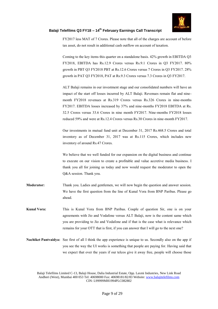

FY2017 less MAT of 7 Crores. Please note that all of the charges are account of before tax asset, do not result in additional cash outflow on account of taxation.

Coming to the key items this quarter on a standalone basis. 42% growth in EBITDA Q3 FY2018, EBITDA has Rs.12.9 Crores versus Rs.9.1 Crores in Q3 FY2017. 80% growth in PBT Q3 FY2018 PBT at Rs.12.6 Crores versus 7 Crores in Q3 FY2017. 28% growth in PAT Q3 FY2018, PAT at Rs.9.3 Crores versus 7.3 Crores in Q3 FY2017.

ALT Balaji remains in our investment stage and our consolidated numbers will have an impact of the start off losses incurred by ALT Balaji. Revenues remain flat and ninemonth FY2018 revenues at Rs.319 Crores versus Rs.326 Crores in nine-months FY2017. EBITDA losses increased by 37% and nine-months FY2018 EBITDA at Rs. 32.5 Crores versus 33.6 Crores in nine month FY2017. Nine-months FY2018 losses reduced 59% and were at Rs.12.4 Crores versus Rs.30 Crores in nine-month FY2017.

Our investments in mutual fund unit at December 31, 2017 Rs.468.5 Crores and total inventory as of December 31, 2017 was at Rs.115 Crores, which includes new inventory of around Rs.47 Crores.

We believe that we well funded for our expansion on the digital business and continue to execute on our vision to create a profitable and value accretive media business. I thank you all for joining us today and now would request the moderator to open the Q&A session. Thank you.

- **Moderator:** Thank you. Ladies and gentlemen, we will now begin the question and answer session. We have the first question from the line of Kunal Vora from BNP Paribas. Please go ahead.
- **Kunal Vora:** This is Kunal Vora from BNP Paribas. Couple of question Sir, one is on your agreements with Jio and Vodafone versus ALT Balaji, now is the content same which you are providing to Jio and Vodafone and if that is the case what is relevance which remains for your OTT that is first, if you can answer that I will go to the next one?
- **Nachiket Pantvaidya:** See first of all I think the app experience is unique to us. Secondly also on the app if you see the way the UI works is something that people are paying for. Having said that we expect that over the years if our telcos give it away free, people will choose those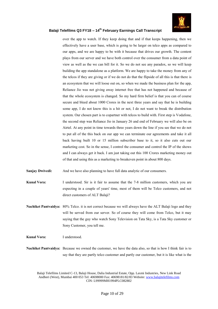

over the app to watch. If they keep doing that and if that keeps happening, then we effectively have a user base, which is going to be larger on telco apps as compared to our apps, and we are happy to be with it because that drives our growth. The content plays from our server and we have both control over the consumer from a data point of view as well as the we can bill for it. So we do not see any paradox, so we will keep building the app standalone as a platform. We are happy to take the money from any of the telcos if they are giving or if we do not do that the flipside of all this is that there is an ecosystem that we will loose out on, so when we made the business plan for the app, Reliance Jio was not giving away internet free that has not happened and because of that the whole ecosystem is changed. So my hard firm belief is that you can of course secure and bleed about 1000 Crores in the next three years and say that he is building some app, I do not know this is a hit or not, I do not want to break the distribution system. Our chosen part is to copartner with telcos to build with. First step is Vodafone, the second step was Reliance Jio in January 26 and end of February we will also be on Airtel. At any point in time towards three years down the line if you see that we do not to put all of the this back on our app we can terminate our agreements and take it all back having built 10 or 15 million subscriber base to it, so it also cuts out our marketing cost. So in the sense, I control the consumer and control the IP of the shows and I can always get it back. I am just taking out this 100 Crores marketing money out of that and using this as a marketing to breakeven point in about 800 days.

**Sanjay Dwivedi:** And we have also planning to have full data analytic of our consumers.

**Kunal Vora:** I understood. Sir is it fair to assume that the 7-8 million customers, which you are expecting in a couple of years' time, most of them will be Telco customers, and not direct customers of ALT Balaji?

**Nachiket Pantvaidya:** 80% Telco. it is not correct because we will always have the ALT Balaji logo and they will be served from our server. So of course they will come from Telco, but it may saying that the guy who watch Sony Television on Tata Sky, is a Tata Sky customer or Sony Customer, you tell me.

- **Kunal Vora:** I understood.
- **Nachiket Pantvaidya:** Because we owned the customer, we have the data also, so that is how I think fair is to say that they are partly telco customer and partly our customer, but it is like what is the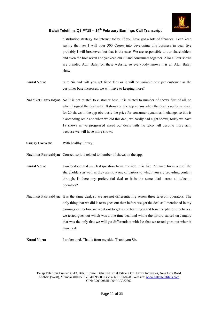

distribution strategy for internet today. If you have got a lots of finances, I can keep saying that yes I will pour 300 Crores into developing this business in year five probably I will breakeven but that is the case. We are responsible to our shareholders and even the breakeven and yet keep our IP and consumers together. Also all our shows are branded ALT Balaji on these website, so everybody knows it is an ALT Balaji show.

- **Kunal Vora:** Sure Sir and will you get fixed fees or it will be variable cost per customer as the customer base increases, we will have to keeping more?
- **Nachiket Pantvaidya:** No it is not related to customer base, it is related to number of shows first of all, so when I signed the deal with 10 shows on the app versus when the deal is up for renewal for 20 shows in the app obviously the price for consumer dynamics in change, so this is a ascending scale and when we did this deal, we hardly had eight shows, today we have 18 shows as we progressed ahead our deals with the telco will become more rich, because we will have more shows.
- **Sanjay Dwivedi:** With healthy library.

**Nachiket Pantvaidya:** Correct, so it is related to number of shows on the app.

**Kunal Vora:** I understood and just last question from my side. It is like Reliance Jio is one of the shareholders as well as they are now one of parties to which you are providing content through, is there any preferential deal or it is the same deal across all telecom operators?

- **Nachiket Pantvaidya:** It is the same deal, so we are not differentiating across three telecom operators. The only thing that we did is tests goes out then before we get the deal as I mentioned in my earnings call before we went out to get some learning's and how the platform behaves, we tested goes out which was a one time deal and whole the library started on January that was the only that we will get differentiate with Jio that we tested goes out when it launched.
- **Kunal Vora:** I understood. That is from my side. Thank you Sir.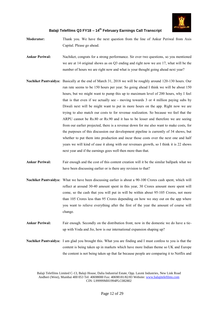

- **Moderator:** Thank you. We have the next question from the line of Ankur Periwal from Axis Capital. Please go ahead.
- **Ankur Periwal:** Nachiket, congrats for a strong performance. Sir over two questions, so you mentioned we are at 14 original shows as on Q3 ending and right now we are 17, what will be the number of hours we are right now and what is your thought going ahead next year?
- **Nachiket Pantvaidya:** Basically at the end of March 31, 2018 we will be roughly around 120-130 hours. Our run rate seems to be 150 hours per year. So going ahead I think we will be about 150 hours, but we might want to pump this up to maximum level of 200 hours, why I feel that is that even if we actually see - moving towards 3 or 4 million paying subs by Diwali next will be might want to put in more hours on the app. Right now we are trying to also match our costs to for revenue realization. So because we feel that the ARPU cannot be Rs.80 or Rs.90 and it has to be lesser and therefore we are seeing from our earlier projected, there is a revenue down for me also want to make costs, for the purposes of this discussion our development pipeline is currently of 34 shows, but whether to put them into production and incur those costs over the next one and half years we will kind of ease it along with our revenues growth, so I think it is 22 shows next year and if the earnings goes well then more than that.
- **Ankur Periwal:** Fair enough and the cost of this content creation will it be the similar ballpark what we have been discussing earlier or is there any revision to that?
- **Nachiket Pantvaidya:** What we have been discussing earlier is about a 90-100 Crores cash spent, which will reflect at around 30-40 amount spent in this year, 30 Crores amount more spent will come, so the cash that you will put in will be within about 95-105 Crores, not more than 105 Crores less than 95 Crores depending on how we stay out on the app where you want to relieve everything after the first of the year the amount of course will change.
- **Ankur Periwal:** Fair enough. Secondly on the distribution front, now in the domestic we do have a tieup with Voda and Jio, how is our international expansion shaping up?
- **Nachiket Pantvaidya:** I am glad you brought this. What you are finding and I must confess to you is that the content is being taken up in markets which have more Indian theme so UK and Europe the content is not being taken up that far because people are comparing it to Netflix and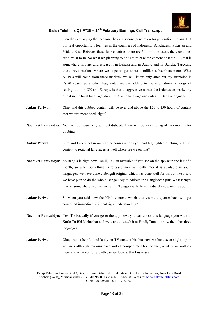

then they are saying that because they are second generation for generation Indians. But our real opportunity I feel lies in the countries of Indonesia, Bangladesh, Pakistan and Middle East. Between these four countries there are 500 million users, the economies are similar to us. So what we planning to do is to release the content post the IPL that is somewhere in June and release it in Bahasa and in Arabic and in Bangla. Targeting these three markets where we hope to get about a million subscribers more. What ARPUs will come from these markets, we will know only after but my suspicion is Rs.20 again. So another fragmented we are adding to the international strategy of setting it out in UK and Europe, is that to aggressive attract the Indonesian market by dub it in the local language, dub it in Arabic language and dub it in Bangla language.

- **Ankur Periwal:** Okay and this dubbed content will be over and above the 120 to 150 hours of content that we just mentioned, right?
- **Nachiket Pantvaidya:** No this 150 hours only will get dubbed. There will be a cyclic lag of two months for dubbing.
- **Ankur Periwal:** Sure and I recollect in our earlier conservations you had highlighted dubbing of Hindi content to regional languages as well where are we on that?
- **Nachiket Pantvaidya:** So Bangla is right now Tamil, Telugu available if you see on the app with the lag of a month, so when something is released now, a month later it is available in south languages, we have done a Bengali original which has done well for us, but like I said we have plan to do the whole Bengali big to address the Bangladesh plus West Bengal market somewhere in June, so Tamil, Telugu available immediately now on the app.
- **Ankur Periwal:** So when you said now the Hindi content, which was visible a quarter back will get converted immediately, is that right understanding?
- **Nachiket Pantvaidya:** Yes. To basically if you go to the app now, you can chose this language you want to Karle Tu Bhi Mohabbat and we want to watch it at Hindi, Tamil or now the other three languages.
- **Ankur Periwal:** Okay that is helpful and lastly on TV content bit, but now we have seen slight dip in volumes although margins have sort of compensated for the that, what is our outlook there and what sort of growth can we look at that business?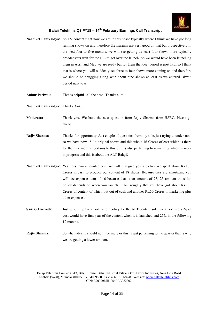

- **Nachiket Pantvaidya:** So TV content right now we are in this phase typically where I think we have got long running shows on and therefore the margins are very good on that but prospectively in the next four to five months, we will see getting us least four shows more typically broadcasters wait for the IPL to get over the launch. So we would have been launching them in April and May we are ready but for them the ideal period is post IPL, so I think that is where you will suddenly see three to four shows more coming on and therefore we should be chugging along with about nine shows at least as we entered Diwali period next year.
- **Ankur Periwal:** That is helpful. All the best. Thanks a lot.

**Nachiket Pantvaidya:** Thanks Ankur.

- **Moderator:** Thank you. We have the next question from Rajiv Sharma from HSBC. Please go ahead.
- **Rajiv Sharma:** Thanks for opportunity. Just couple of questions from my side, just trying to understand so we have now 15-16 original shows and this whole 16 Crores of cost which is there for the nine months, pertains to this or it is also pertaining to something which is work in progress and this is about the ALT Balaji?
- **Nachiket Pantvaidya:** Yes, less than amounted cost, we will just give you a picture we spent about Rs.100 Crores in cash to produce our content of 18 shows. Because they are amortizing you will see expense item of 16 because that is an amount of 75, 25 amount transition policy depends on when you launch it, but roughly that you have got about Rs.100 Crores of content of which put out of cash and another Rs.50 Crores in marketing plus other expenses.
- **Sanjay Dwivedi:** Just to sum up the amortization policy for the ALT content side, we amortized 75% of cost would have first year of the content when it is launched and 25% in the following 12 months.
- **Rajiv Sharma:** So when ideally should not it be more or this is just pertaining to the quarter that is why we are getting a lower amount.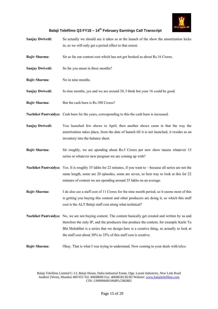

| <b>Sanjay Dwivedi:</b> | So actually we should see it takes so at the launch of the show the amortization kicks<br>in, so we will only get a period effect to that extent.                                                                                                                                                                                                                     |
|------------------------|-----------------------------------------------------------------------------------------------------------------------------------------------------------------------------------------------------------------------------------------------------------------------------------------------------------------------------------------------------------------------|
| Rajiv Sharma:          | Sir so far our content cost which has not got booked as about Rs.16 Crores.                                                                                                                                                                                                                                                                                           |
| <b>Sanjay Dwivedi:</b> | So far you mean in three months?                                                                                                                                                                                                                                                                                                                                      |
| Rajiv Sharma:          | No in nine months.                                                                                                                                                                                                                                                                                                                                                    |
| <b>Sanjay Dwivedi:</b> | In nine months, yes and we are around 20, I think but your 16 could be good.                                                                                                                                                                                                                                                                                          |
| Rajiv Sharma:          | But the cash burn is Rs.100 Crores?                                                                                                                                                                                                                                                                                                                                   |
|                        | Nachiket Pantvaidya: Cash burn for the years, corresponding to this the cash burn is increased.                                                                                                                                                                                                                                                                       |
| <b>Sanjay Dwivedi:</b> | You launched few shows in April, then another shows came in that the way the<br>amortization takes place, from the date of launch till it is not launched, it resides as an<br>inventory into the balance sheet.                                                                                                                                                      |
| Rajiv Sharma:          | Sir roughly, we are spending about Rs.5 Crores per new show means whatever 15<br>series or whatever new program we are coming up with?                                                                                                                                                                                                                                |
|                        | Nachiket Pantvaidya: Yes. It is roughly 35 lakhs for 22 minutes, if you want to – because all series are not the<br>same length, some are 20 episodes, some are seven, so best way to look at this for 22<br>minutes of content we are spending around 35 lakhs on an average.                                                                                        |
| Rajiv Sharma:          | I do also see a staff cost of 11 Crores for the nine month period, so it seems most of this<br>is getting you buying this content and other producers are doing it, so which this staff<br>cost is the ALT Balaji staff cost along what technical?                                                                                                                    |
|                        | Nachiket Pantvaidya: No, we are not buying content. The content basically get created and written by us and<br>therefore the only IP, and the producers line produce the content, for example Karle Tu<br>Bhi Mohabbat is a series that we design here is a creative thing, so actually to look at<br>the staff cost about 30% to 35% of this staff cost is creative. |
| Rajiv Sharma:          | Okay. That is what I was trying to understand. Now coming to your deals with telco.                                                                                                                                                                                                                                                                                   |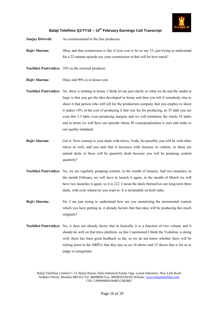

- **Sanjay Dwivedi:** As commissioned to the line producers.
- **Rajiv Sharma:** Okay and that commission is like if your cost is let us say 35, just trying to understand for a 22-minute episode say your commission in that will be how much?
- **Nachiket Pantvaidya:** 10% to the external producer.
- **Rajiv Sharma:** Okay and 90% is in house cost.
- **Nachiket Pantvaidya:** No, there is nothing in house. I think let me just clarify so what we do and the media at large is that you get the idea developed in house and then you tell if somebody else to shoot it that person who will tell for the production company that you employ to shoot it makes 10% of the cost of producing it that was fee for producing, so 35 lakh you see even this 3.5 lakh, even producing margins and we will reimburse the whole 35 lakhs and in terms we will have our episode whose IP conceptualization is ours and make to our quality standards.
- **Rajiv Sharma:** Got it. Now coming to your deals with telcos, Voda, Jio possibly you will be with other telcos as well, and you said that it increases with increase in content, so these are annual deals or these will be quarterly deals because you will be pumping content quarterly?
- **Nachiket Pantvaidya:** No, we are regularly pumping content, in the month of January, had two launches, in the month February we will have to launch it again, in the month of March we will have two launches it again, so it is 222. I mean the deals themselves are long-term three deals, with exits whenever you want to. It is terminable on both sides.
- **Rajiv Sharma:** Sir, I am just trying to understand how are you monetizing the incremental content which you have putting in, it already factors that that okay will be producing this much originals?
- **Nachiket Pantvaidya:** No, it does not already factor that in basically it is a function of two volume and it should do well on that telco platform, so like I mentioned I think the Vodafone is doing well, there has been good feedback so far, so we do not know whether there will be ticking point in the ARPUs that they pay us on 18 shows and 25 shows that is for us to judge to renegotiate.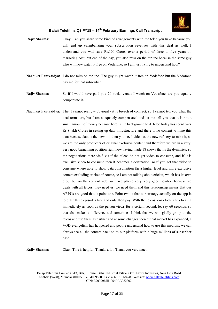

- **Rajiv Sharma:** Okay. Can you share some kind of arrangements with the telco you have because you will end up cannibalizing your subscription revenues with this deal as well, I understand you will save Rs.100 Crores over a period of three to five years on marketing cost, but end of the day, you also miss on the topline because the same guy who will now watch it free on Vodafone, so I am just trying to understand how?
- **Nachiket Pantvaidya:** I do not miss on topline. The guy might watch it free on Vodafone but the Vodafone pay me for that subscriber.
- **Rajiv Sharma:** So if I would have paid you 20 bucks versus I watch on Vodafone, are you equally compensate it?
- **Nachiket Pantvaidya:** That I cannot really obviously it is breach of contract, so I cannot tell you what the deal terms are, but I am adequately compensated and let me tell you that it is not a small amount of money because here is the background to it, telco today has spent over Rs.8 lakh Crores in setting up data infrastructure and there is no content to mine this data because data is the new oil, then you need video as the new refinery to mine it, so we are the only producers of original exclusive content and therefore we are in a very, very good bargaining position right now having made 18 shows that is the dynamics, so the negotiations there vis-à-vis if the telcos do not get video to consume, and if it is exclusive video to consume then it becomes a destination, so if you get that video to consume where able to show data consumption far a higher level and more exclusive content excluding cricket of course, so I am not talking about cricket, which has its own drop, but on the content side, we have placed very, very good position because we deals with all telcos, they need us, we need them and this relationship means that our ARPUs are good that is point one. Point two is that our strategy actually on the app is to offer three episodes free and only then pay. With the telcos, our clock starts ticking immediately as soon as the person views for a certain second, let say 60 seconds, so that also makes a difference and sometimes I think that we will gladly go up to the telcos and use them as partner and at some changes seen at that market has expanded, a VOD evangelism has happened and people understand how to use this medium, we can always see all the content back on to our platform with a huge millions of subscriber base.

**Rajiv Sharma:** Okay. This is helpful. Thanks a lot. Thank you very much.

Balaji Telefilms Limited C-13, Balaji House, Dalia Industrial Estate, Opp. Laxmi Industries, New Link Road Andheri (West), Mumbai 400 053 Tel: 40698000 Fax: 40698181/82/83 Website: www.balajitelefilms.com CIN: L99999MH1994PLC082802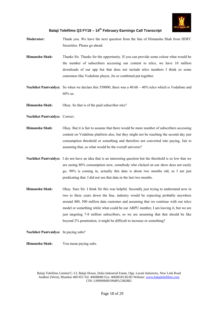

- **Moderator:** Thank you. We have the next question from the line of Himanshu Shah from HDFC Securities. Please go ahead.
- **Himanshu Shah:** Thanks Sir. Thanks for the opportunity. If you can provide some colour what would be the number of subscribers accessing our content to telco, we have 10 million downloads of our app but that does not include telco numbers I think so some customers like Vodafone player, Jio or combined put together.
- **Nachiket Pantvaidya:** So when we declare this 550000, there was a 40:60 40% telco which is Vodafone and 60% us.
- **Himanshu Shah:** Okay. So that is of the paid subscriber mix?
- **Nachiket Pantvaidya:** Correct.
- **Himanshu Shah:** Okay. But it is fair to assume that there would be more number of subscribers accessing content on Vodafone platform also, but they might not be reaching the second day just consumption threshold or something and therefore not converted into paying, fair to assuming that, so what would be the overall universe?
- **Nachiket Pantvaidya:** I do not have an idea that is an interesting question but the threshold is so low that we are seeing 80% consumption now, somebody who clicked on our show does not easily go, 90% is coming in, actually this data is about two months old, so I am just predicating that. I did not see that data in the last two months.
- **Himanshu Shah:** Okay. Sure Sir. I think Sir this was helpful. Secondly just trying to understand now in two to three years down the line, industry would be expecting probably anywhere around 400, 500 million data customer and assuming that we continue with our telco model or something while what could be our ARPU number, I am leaving it, but we are just targeting 7-8 million subscribers, so we are assuming that that should be like beyond 2% penetration, it might be difficult to increase or something?

#### **Nachiket Pantvaidya:** In paying subs?

**Himanshu Shah:** You mean paying subs.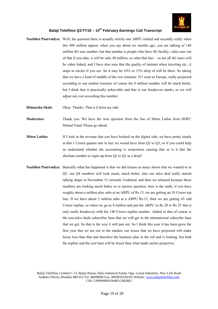

- **Nachiket Pantvaidya:** Well, the question there is actually strictly one ARPU related and secondly really when this 400 million appear, when you say about six months ago, you are talking of 140 million 4G user number, but that number is people who have 4G facility, video user out of that if you take, it will be only 40 million, so what that fact – so not all 4G users will be video linked, and I have also seen that the quality of internet when traveling etc., it stops in circles if you see. So it may be 10% or 15% drop of will be there. So taking that we have a kind of middle of the row estimate. If I went to Europe, really projected according to our market resource of course the 8 million number will be much better, but I think that is practically achievable and that is our breakeven marks, so we will adjust our cost according this number.
- **Himanshu Shah:** Okay. Thanks. That is it from my side.
- **Moderator:** Thank you. We have the next question from the line of Miten Lathia from HDFC Mutual Fund. Please go ahead.
- **Miten Lathia:** If I look at the revenue that you have booked on the digital side, we have pretty steady at that 1 Crores quarter rate in fact we would have from Q2 to Q3, so if you could help us understand whether the accounting is somewhere causing that or is it that the absolute number or signs up from Q2 to Q3 as a drop?
- **Nachiket Pantvaidya:** Basically what has happened is that we did release as many shows that we wanted to in Q3, our Q4 numbers will look much, much better, also our telco deal really started talking shape in November 15 onwards Vodafone and then we released because those numbers are looking much better so to answer question, here is the math, if you have roughly about a million plus subs at an ARPU of Rs.15, we are getting an 18 Crores top line. If we have about 3 million subs at a ARPU Rs.15, then we are getting 45 odd Crores topline, so when we go to 8 million and put the ARPU in Rs 20 to Rs 25 that is only really breakeven with the 140 Crores topline number. Added to that of course is the non-telco deals subscriber base that we will get in the international subscribe base that we get. So that is the way it will pan out. So I think this year it has been grow the first year that we are out in the market, our losses that we have projected will make lesser loss than that and therefore the business plan in the tail end is looking, but both the topline and the cost base will be lesser than what made earlier projective.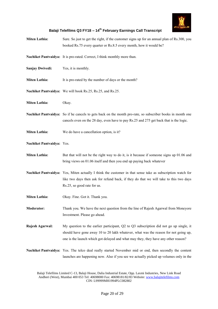

| <b>Miten Lathia:</b>      | Sure. So just to get the right, if the customer signs up for an annual plan of Rs.300, you<br>booked Rs.75 every quarter or Rs.8.5 every month, how it would be?                                                                                                    |
|---------------------------|---------------------------------------------------------------------------------------------------------------------------------------------------------------------------------------------------------------------------------------------------------------------|
|                           | Nachiket Pantvaidya: It is pro-rated. Correct, I think monthly more than.                                                                                                                                                                                           |
| <b>Sanjay Dwivedi:</b>    | Yes, it is monthly.                                                                                                                                                                                                                                                 |
| <b>Miten Lathia:</b>      | It is pro-rated by the number of days or the month?                                                                                                                                                                                                                 |
|                           | Nachiket Pantvaidya: We will book Rs.25, Rs.25, and Rs.25.                                                                                                                                                                                                          |
| <b>Miten Lathia:</b>      | Okay.                                                                                                                                                                                                                                                               |
|                           | Nachiket Pantvaidya: So if he cancels to gets back on the month pro-rate, so subscriber books in month one<br>cancels even on the 28 day, even have to pay Rs.25 and 275 get back that is the logic.                                                                |
| <b>Miten Lathia:</b>      | We do have a cancellation option, is it?                                                                                                                                                                                                                            |
| Nachiket Pantvaidya: Yes. |                                                                                                                                                                                                                                                                     |
| <b>Miten Lathia:</b>      | But that will not be the right way to do it, is it because if someone signs up 01.06 and<br>bring views on 01.06 itself and then you end up paying back whatever                                                                                                    |
|                           | Nachiket Pantvaidya: Yes, Miten actually I think the customer in that sense take as subscription watch for<br>like two days then ask for refund back, if they do that we will take to this two days<br>Rs.25, so good rate for us.                                  |
| <b>Miten Lathia:</b>      | Okay. Fine. Got it. Thank you.                                                                                                                                                                                                                                      |
| <b>Moderator:</b>         | Thank you. We have the next question from the line of Rajesh Agarwal from Moneyore<br>Investment. Please go ahead.                                                                                                                                                  |
| Rajesh Agarwal:           | My question to the earlier participant, Q2 to Q3 subscription did not go up single, it<br>should have gone away 10 to 20 lakh whatever, what was the reason for not going up,<br>one is the launch which got delayed and what may they, they have any other reason? |
|                           | Nachiket Pantvaidya: Yes. The telco deal really started November mid or end, then secondly the content<br>launches are happening now. Also if you see we actually picked up volumes only in the                                                                     |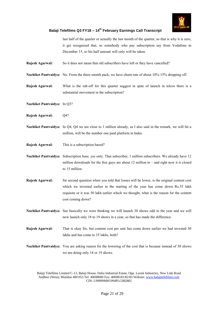

last half of the quarter or actually the last month of the quarter, so that is why it is zero, it get recognized that, so somebody who pay subscription say from Vodafone in December 15, so his half amount will only will be taken.

- **Rajesh Agarwal:** So it does not mean that old subscribers have left or they have cancelled?
- **Nachiket Pantvaidya:** No. From the three-month pack, we have churn rate of about 10%-15% dropping off.
- **Rajesh Agarwal:** What is the rub-off for this quarter suggest in spite of launch in telcos there is a substantial movement in the subscription?
- **Nachiket Pantvaidya:** In Q3?
- **Rajesh Agarwal:** Q4?
- **Nachiket Pantvaidya:** In Q4, Q4 we are close to 1 million already, as I also said in the remark, we will hit a million, will be the number one paid platform in India.
- **Rajesh Agarwal:** This is a subscription based?
- **Nachiket Pantvaidya:** Subscription base, yes only. That subscriber, 1 million subscribers. We already have 12 million downloads for the free guys are about 12 million to – and right now it is closed to 15 million.
- **Rajesh Agarwal:** Sir second question when you told that losses will be lower, is the original content cost which we invested earlier in the starting of the year has come down Rs.35 lakh requisite or it was 50 lakh earlier which we thought, what is the reason for the content cost coming down?
- **Nachiket Pantvaidya:** See basically we were thinking we will launch 30 shows odd in the year and we will now launch only 18 to 19 shows in a year, so that has made the difference.
- **Rajesh Agarwal:** That is okay Sir, but content cost per unit has come down earlier we had invested 50 lakhs and has come to 35 lakhs, both?
- **Nachiket Pantvaidya:** You are asking reason for the lowering of the cost that is because instead of 30 shows we are doing only 18 or 19 shows.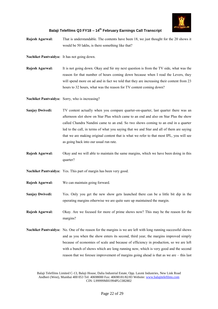

- **Rajesh Agarwal:** That is understandable. The contents have been 18, we just thought for the 20 shows it would be 50 lakhs, is there something like that?
- **Nachiket Pantvaidya:** It has not going down.
- **Rajesh Agarwal:** It is not going down. Okay and Sir my next question is from the TV side, what was the reason for that number of hours coming down because when I read the Levers, they will spend more on ad and in fact we told that they are increasing their content from 23 hours to 32 hours, what was the reason for TV content coming down?

**Nachiket Pantvaidya:** Sorry, who is increasing?

- **Sanjay Dwivedi:** TV content actually when you compare quarter-on-quarter, last quarter there was an afternoon slot show on Star Plus which came to an end and also on Star Plus the show called Chandra Nandini came to an end. So two shows coming to an end in a quarter led to the call, in terms of what you saying that we and Star and all of them are saying that we are making original content that is what we refer to that most IPL, you will see as going back into our usual run rate.
- **Rajesh Agarwal:** Okay and we will able to maintain the same margins, which we have been doing in this quarter?
- **Nachiket Pantvaidya:** Yes. This part of margin has been very good.
- **Rajesh Agarwal:** We can maintain going forward.
- **Sanjay Dwivedi:** Yes. Only you get the new show gets launched there can be a little bit dip in the operating margins otherwise we are quite sure up maintained the margin.
- **Rajesh Agarwal:** Okay. Are we focused for more of prime shows now? This may be the reason for the margins?
- **Nachiket Pantvaidya:** No. One of the reason for the margins is we are left with long running successful shows and as you when the show enters its second, third year, the margins improved simply because of economies of scale and because of efficiency in production, so we are left with a bunch of shows which are long running now, which is very good and the second reason that we foresee improvement of margins going ahead is that as we are – this last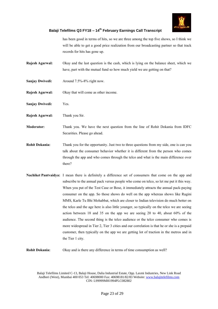

has been good in terms of hits, so we are three among the top five shows, so I think we will be able to get a good price realization from our broadcasting partner so that track records for hits has gone up.

- **Rajesh Agarwal:** Okay and the last question is the cash, which is lying on the balance sheet, which we have, part with the mutual fund so how much yield we are getting on that?
- **Sanjay Dwivedi:** Around 7.5%-8% right now.
- **Rajesh Agarwal:** Okay that will come as other income.
- **Sanjay Dwivedi:** Yes.
- **Rajesh Agarwal:** Thank you Sir.
- **Moderator:** Thank you. We have the next question from the line of Rohit Dokania from IDFC Securities. Please go ahead.
- **Rohit Dokania:** Thank you for the opportunity. Just two to three questions from my side, one is can you talk about the consumer behavior whether it is different from the person who comes through the app and who comes through the telco and what is the main difference over there?
- **Nachiket Pantvaidya:** I mean there is definitely a difference set of consumers that come on the app and subscribe to the annual pack versus people who come on telco, so let me put it this way. When you put of the Test Case or Bose, it immediately attracts the annual pack-paying consumer on the app. So those shows do well on the app whereas shows like Ragini MMS, Karle Tu Bhi Mohabbat, which are closer to Indian television do much better on the telco and the age here is also little younger, so typically on the telco we are seeing action between 18 and 35 on the app we are seeing 20 to 40, about 60% of the audience. The second thing is the telco audience or the telco consumer who comes is more widespread in Tier 2, Tier 3 cities and our correlation is that he or she is a prepaid customer, then typically on the app we are getting lot of traction in the metros and in the Tier 1 city.

**Rohit Dokania:** Okay and is there any difference in terms of time consumption as well?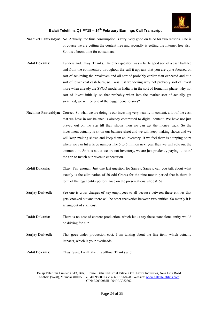

- **Nachiket Pantvaidya:** No. Actually, the time consumption is very, very good on telco for two reasons. One is of course we are getting the content free and secondly is getting the Internet free also. So it is a boom time for consumers.
- **Rohit Dokania:** I understand. Okay. Thanks. The other question was fairly good sort of a cash balance and from the commentary throughout the call it appears that you are quite focused on sort of achieving the breakeven and all sort of probably earlier than expected and at a sort of lower cost cash burn, so I was just wondering why not probably sort of invest more when already the SVOD model in India is in the sort of formation phase, why not sort of invest initially, so that probably when into the market sort of actually get swarmed, we will be one of the bigger beneficiaries?
- **Nachiket Pantvaidya:** Correct. So what we are doing is our investing very heavily in content, a lot of the cash that we have in our balance is already committed to digital content. We have not just played out on the app till their shows then we can get the money back. So the investment actually is sit on our balance sheet and we will keep making shows and we will keep making shows and keep them an inventory. If we feel there is a tipping point where we can hit a large number like 5 to 6 million next year then we will role out the ammunition. So it is not at we are not inventory, we are just prudently paying it out of the app to match our revenue expectation.
- **Rohit Dokania:** Okay. Fair enough. Just one last question for Sanjay, Sanjay, can you talk about what exactly is the elimination of 20 odd Crores for the nine month period that is there in term of the legal entity performance on the presentations, slide #16?
- **Sanjay Dwivedi:** See one is cross charges of key employees to all because between these entities that gets knocked out and there will be other recoveries between two entities. So mainly it is arising out of staff cost.
- **Rohit Dokania:** There is no cost of content production, which let us say these standalone entity would be driving for all?
- **Sanjay Dwivedi:** That goes under production cost. I am talking about the line item, which actually impacts, which is your overheads.
- **Rohit Dokania:** Okay. Sure. I will take this offline. Thanks a lot.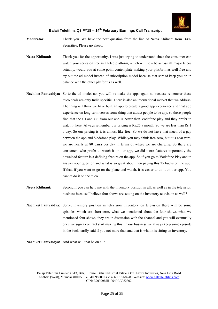

- **Moderator:** Thank you. We have the next question from the line of Neeta Khilnani from B&K Securities. Please go ahead.
- **Neeta Khilnani:** Thank you for the opportunity. I was just trying to understand since the consumer can watch your series on free in a telco platform, which will now be across all major telcos actually, would you at some point contemplate making your platform as well free and try out the ad model instead of subscription model because that sort of keep you on in balance with the other platforms as well.
- **Nachiket Pantvaidya:** So to the ad model no, you will be make the apps again no because remember these telco deals are only India specific. There is also an international market that we address. The thing is I think we have built an app to create a good app experience and that app experience on long-term versus some thing that attract people to be app, so these people find that the UI and US from our app is better than Vodafone play and they prefer to watch it here. Always remember our pricing is Rs.25 a month. So we are less than Rs.1 a day. So our pricing is it is almost like free. So we do not have that much of a gap between the app and Vodafone play. While you may think free zero, but it is near zero, we are nearly at 80 paisa per day in terms of where we are charging. So there are consumers who prefer to watch it on our app, we did more features importantly the download feature is a defining feature on the app. So if you go to Vodafone Play and to answer your question and what is so great about then paying this 25 bucks on the app. If that, if you want to go on the plane and watch, it is easier to do it on our app. You cannot do it on the telco.
- **Neeta Khilnani:** Second if you can help me with the inventory position in all, as well as in the television business because I believe four shows are setting on the inventory television as well?
- **Nachiket Pantvaidya:** Sorry, inventory position in television. Inventory on television there will be some episodes which are short-term, what we mentioned about the four shows what we mentioned four shows, they are in discussion with the channel and you will eventually once we sign a contract start making this. In our business we always keep some episode in the back hardly said if you not more than and that is what it is sitting an inventory.

**Nachiket Pantvaidya:** And what will that be on all?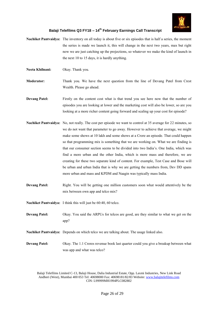

- **Nachiket Pantvaidya:** The inventory on all today is about five or six episodes that is half a series, the moment the series is made we launch it, this will change in the next two years, max but right now we are just catching up the projections, so whatever we make the kind of launch in the next 10 to 15 days, it is hardly anything.
- **Neeta Khilnani:** Okay. Thank you.
- **Moderator:** Thank you. We have the next question from the line of Devang Patel from Crest Wealth. Please go ahead.
- **Devang Patel:** Firstly on the content cost what is that trend you see here now that the number of episodes you are looking at lower and the marketing cost will also be lower, so are you looking at a more richer content going forward and scaling up your cost for episode?
- **Nachiket Pantvaidya:** No, not really. The cost per episode we want to control at 35 average for 22 minutes, so we do not want that parameter to go away. However to achieve that average, we might make some shows at 10 lakh and some shows at a Crore an episode. That could happen so that programming mix is something that we are working on. What we are finding is that our consumer section seems to be divided into two India's. One India, which was find a more urban and the other India, which is more mass and therefore, we are creating for these two separate kind of content. For example, Test Case and Bose will be urban and urban India that is why we are getting the numbers from, Dev DD spans more urban and mass and KPDM and Naagin was typically mass India.
- **Devang Patel:** Right. You will be getting one million customers soon what would attentively be the mix between own app and telco mix?
- **Nachiket Pantvaidya:** I think this will just be 60:40, 60 telco.
- **Devang Patel:** Okay. You said the ARPUs for telcos are good, are they similar to what we get on the app?
- **Nachiket Pantvaidya:** Depends on which telco we are talking about. The usage linked also.
- **Devang Patel:** Okay. The 1.1 Crores revenue book last quarter could you give a breakup between what was app and what was telco?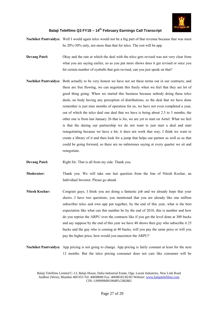

**Nachiket Pantvaidya:** Well I would again telco would not be a big part of that revenue because that was must be 20%-30% only, not more than that for telco. The rest will be app.

- **Devang Patel:** Okay and the rate at which the deal with the telco gets revised was not very clear from what you are saying earlier, so as you put more shows does it get revised or once you hit certain number of eyeballs that gets revised, can you just speak on that?
- **Nachiket Pantvaidya:** Both actually to be very honest we have not set these terms out in our contracts, and these are free flowing, we can negotiate this freely when we feel that they are lot of good thing going. When we started this business because nobody doing these telco deals, no body having any perception of distributions, so the deal that we have done remember is just nine months of operation for us, we have not even completed a year, out of which the telco deal one deal that we have is being about 2.5 to 3 months, the other one is from last January 26 that is Jio, we are yet to start on Airtel. What we feel is that the during our partnership we do not want to just start a deal and start renegotiating because we have a hit, it does not work that way, I think we want to create a library of it and then look for a jump that helps our partner as well as us that could be going forward, so there are no milestones saying at every quarter we sit and renegotiate.

**Devang Patel:** Right Sir. That is all from my side. Thank you.

**Moderator:** Thank you. We will take one last question from the line of Nitesh Kochar, an Individual Investor. Please go ahead.

- **Nitesh Kochar:** Congrats guys, I think you are doing a fantastic job and we already hope that your shows. I have two questions, you mentioned that you are already like one million subscriber telco and own app put together, by the end of this year, what is the best expectation like what can this number be by the end of 2018, this is number and how do you reprise the ARPU over the contracts like if you get the level done at 300 bucks and say suppose by the end of this year we have 40 shows then guy who subscribe it 25 bucks and the guy who is coming at 40 bucks, will you pay the same price or will you pay the higher price, how would you maximize the ARPU?
- **Nachiket Pantvaidya:** App pricing is not going to change. App pricing is fairly constant at least for the next 12 months. But the telco pricing consumer does not care like consumer will be

Balaji Telefilms Limited C-13, Balaji House, Dalia Industrial Estate, Opp. Laxmi Industries, New Link Road Andheri (West), Mumbai 400 053 Tel: 40698000 Fax: 40698181/82/83 Website: www.balajitelefilms.com CIN: L99999MH1994PLC082802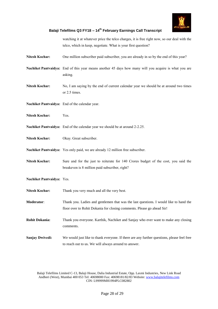

watching it at whatever price the telco charges, it is free right now, so our deal with the telco, which in keep, negotiate. What is your first question?

- **Nitesh Kochar:** One million subscriber paid subscriber, you are already in so by the end of this year?
- **Nachiket Pantvaidya:** End of this year means another 45 days how many will you acquire is what you are asking.
- **Nitesh Kochar:** No, I am saying by the end of current calendar year we should be at around two times or 2.5 times.
- **Nachiket Pantvaidya:** End of the calendar year.
- **Nitesh Kochar:** Yes.
- **Nachiket Pantvaidya:** End of the calendar year we should be at around 2-2.25.
- **Nitesh Kochar:** Okay. Great subscriber.
- **Nachiket Pantvaidya:** Yes only paid, we are already 12 million free subscriber.
- **Nitesh Kochar:** Sure and for the just to reiterate for 140 Crores budget of the cost, you said the breakeven is 8 million paid subscriber, right?
- **Nachiket Pantvaidya:** Yes.
- Nitesh Kochar: Thank you very much and all the very best.
- **Moderator**: Thank you. Ladies and gentlemen that was the last questions. I would like to hand the floor over to Rohit Dokania for closing comments. Please go ahead Sir!
- **Rohit Dokania:** Thank you everyone. Karthik, Nachiket and Sanjay who ever want to make any closing comments.
- **Sanjay Dwivedi:** We would just like to thank everyone. If there are any further questions, please feel free to reach out to us. We will always around to answer.